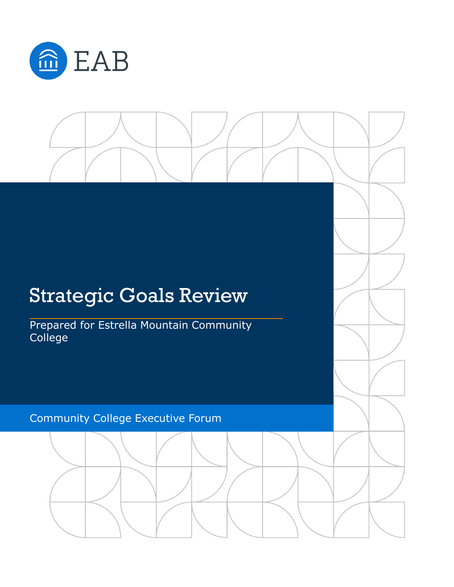

# Strategic Goals Review Prepared for Estrella Mountain Community **College** Community College Executive Forum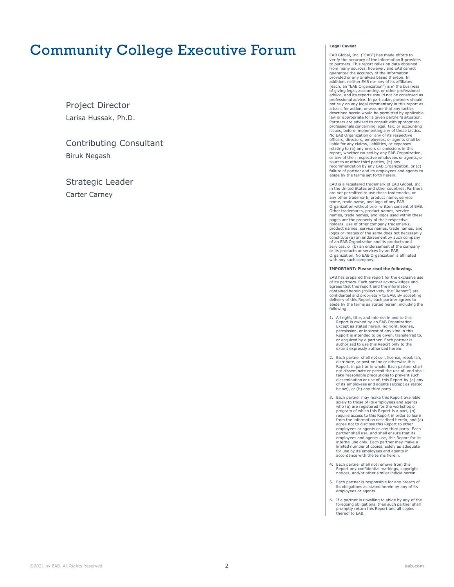## Community College Executive Forum

Larisa Hussak, Ph.D. Project Director

Biruk Negash Contributing Consultant

Carter Carney Strategic Leader

#### **Legal Caveat**

EAB Global, Inc. ("EAB") has made efforts to verify the accuracy of the information it provides to partners. This report relies on data obtained from many sources, however, and EAB cannot guarantee the accuracy of the information provided or any analysis based thereon. In addition, neither EAB nor any of its affiliates (each, an "EAB Organization") is in the business of giving legal, accounting, or other professional advice, and its reports should not be construed as professional advice. In particular, partners should not rely on any legal commentary in this report as a basis for action, or assume that any tactics described herein would be permitted by applicable law or appropriate for a given partner's situation. Partners are advised to consult with appropriate professionals concerning legal, tax, or accounting issues, before implementing any of these tactics. No EAB Organization or any of its respective officers, directors, employees, or agents shall be liable for any claims, liabilities, or expenses relating to (a) any errors or omissions in this report, whether caused by any EAB Organization, or any of their respective employees or agents, or sources or other third parties, (b) any recommendation by any EAB Organization, or (c) failure of partner and its employees and agents to abide by the terms set forth herein.

EAB is a registered trademark of EAB Global, Inc. in the United States and other countries. Partners are not permitted to use these trademarks, or any other trademark, product name, service name, trade name, and logo of any EAB Organization without prior written consent of EAB. Other trademarks, product names, service names, trade names, and logos used within these pages are the property of their respective holders. Use of other company trademarks, product names, service names, trade names, and logos or images of the same does not necessarily constitute (a) an endorsement by such company of an EAB Organization and its products and services, or (b) an endorsement of the company or its products or services by an EAB Organization. No EAB Organization is affiliated with any such company.

#### **IMPORTANT: Please read the following.**

EAB has prepared this report for the exclusive use of its partners. Each partner acknowledges and agrees that this report and the information contained herein (collectively, the "Report") are confidential and proprietary to EAB. By accepting delivery of this Report, each partner agrees to abide by the terms as stated herein, including the following:

- 1. All right, title, and interest in and to this Report is owned by an EAB Organization. Except as stated herein, no right, license, permission, or interest of any kind in this Report is intended to be given, transferred to, or acquired by a partner. Each partner is authorized to use this Report only to the extent expressly authorized herein.
- 2. Each partner shall not sell, license, republish, distribute, or post online or otherwise this Report, in part or in whole. Each partner shall not disseminate or permit the use of, and shall take reasonable precautions to prevent such dissemination or use of, this Report by (a) any of its employees and agents (except as stated below), or (b) any third party.
- 3. Each partner may make this Report available solely to those of its employees and agents who (a) are registered for the workshop or program of which this Report is a part, (b) require access to this Report in order to learn from the information described herein, and (c) agree not to disclose this Report to other employees or agents or any third party. Each partner shall use, and shall ensure that its employees and agents use, this Report for its internal use only. Each partner may make a limited number of copies, solely as adequate for use by its employees and agents in accordance with the terms herein.
- 4. Each partner shall not remove from this Report any confidential markings, copyright notices, and/or other similar indicia herein.
- 5. Each partner is responsible for any breach of its obligations as stated herein by any of its employees or agents.
- 6. If a partner is unwilling to abide by any of the foregoing obligations, then such partner shall promptly return this Report and all copies thereof to EAB.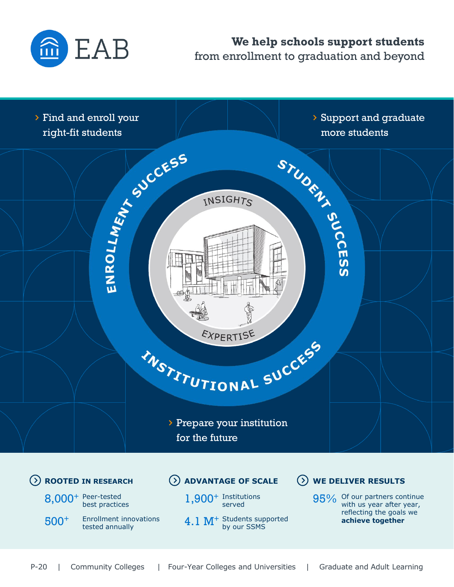

## **We help schools support students**  from enrollment to graduation and beyond



P-20 | Community Colleges | Four-Year Colleges and Universities | Graduate and Adult Learning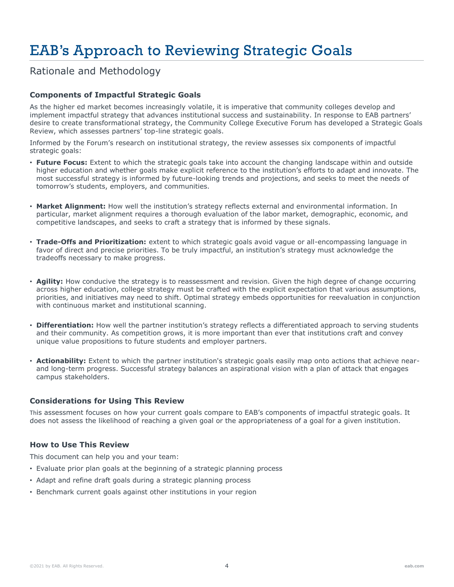# EAB's Approach to Reviewing Strategic Goals

Rationale and Methodology

#### **Components of Impactful Strategic Goals**

As the higher ed market becomes increasingly volatile, it is imperative that community colleges develop and implement impactful strategy that advances institutional success and sustainability. In response to EAB partners' desire to create transformational strategy, the Community College Executive Forum has developed a Strategic Goals Review, which assesses partners' top-line strategic goals.

Informed by the Forum's research on institutional strategy, the review assesses six components of impactful strategic goals:

- **Future Focus:** Extent to which the strategic goals take into account the changing landscape within and outside higher education and whether goals make explicit reference to the institution's efforts to adapt and innovate. The most successful strategy is informed by future-looking trends and projections, and seeks to meet the needs of tomorrow's students, employers, and communities.
- **Market Alignment:** How well the institution's strategy reflects external and environmental information. In particular, market alignment requires a thorough evaluation of the labor market, demographic, economic, and competitive landscapes, and seeks to craft a strategy that is informed by these signals.
- **Trade-Offs and Prioritization:** extent to which strategic goals avoid vague or all-encompassing language in favor of direct and precise priorities. To be truly impactful, an institution's strategy must acknowledge the tradeoffs necessary to make progress.
- **Agility:** How conducive the strategy is to reassessment and revision. Given the high degree of change occurring across higher education, college strategy must be crafted with the explicit expectation that various assumptions, priorities, and initiatives may need to shift. Optimal strategy embeds opportunities for reevaluation in conjunction with continuous market and institutional scanning.
- **Differentiation:** How well the partner institution's strategy reflects a differentiated approach to serving students and their community. As competition grows, it is more important than ever that institutions craft and convey unique value propositions to future students and employer partners.
- **Actionability:** Extent to which the partner institution's strategic goals easily map onto actions that achieve nearand long-term progress. Successful strategy balances an aspirational vision with a plan of attack that engages campus stakeholders.

#### **Considerations for Using This Review**

This assessment focuses on how your current goals compare to EAB's components of impactful strategic goals. It does not assess the likelihood of reaching a given goal or the appropriateness of a goal for a given institution.

#### **How to Use This Review**

This document can help you and your team:

- Evaluate prior plan goals at the beginning of a strategic planning process
- Adapt and refine draft goals during a strategic planning process
- Benchmark current goals against other institutions in your region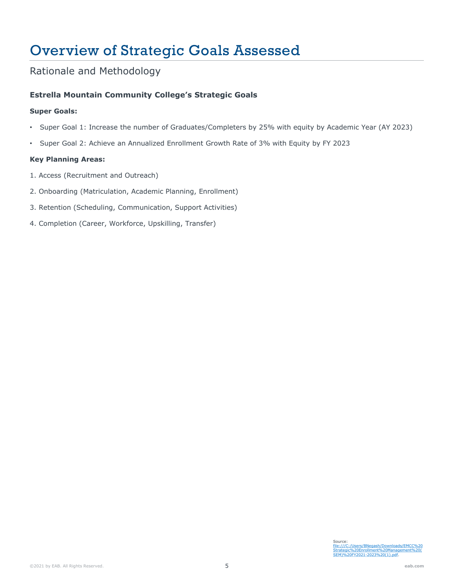# Overview of Strategic Goals Assessed

### Rationale and Methodology

#### **Estrella Mountain Community College's Strategic Goals**

#### **Super Goals:**

- Super Goal 1: Increase the number of Graduates/Completers by 25% with equity by Academic Year (AY 2023)
- Super Goal 2: Achieve an Annualized Enrollment Growth Rate of 3% with Equity by FY 2023

#### **Key Planning Areas:**

- 1. Access (Recruitment and Outreach)
- 2. Onboarding (Matriculation, Academic Planning, Enrollment)
- 3. Retention (Scheduling, Communication, Support Activities)
- 4. Completion (Career, Workforce, Upskilling, Transfer)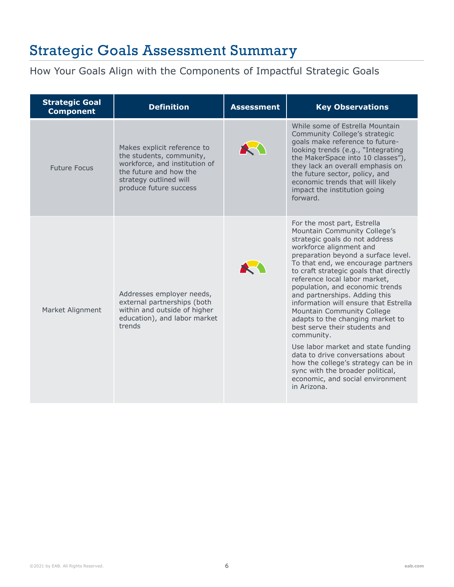## Strategic Goals Assessment Summary

## How Your Goals Align with the Components of Impactful Strategic Goals

| <b>Strategic Goal</b><br><b>Component</b> | <b>Definition</b>                                                                                                                                                      | <b>Assessment</b> | <b>Key Observations</b>                                                                                                                                                                                                                                                                                                                                                                                                                                                                                                                                                                                                                                                                                                  |
|-------------------------------------------|------------------------------------------------------------------------------------------------------------------------------------------------------------------------|-------------------|--------------------------------------------------------------------------------------------------------------------------------------------------------------------------------------------------------------------------------------------------------------------------------------------------------------------------------------------------------------------------------------------------------------------------------------------------------------------------------------------------------------------------------------------------------------------------------------------------------------------------------------------------------------------------------------------------------------------------|
| <b>Future Focus</b>                       | Makes explicit reference to<br>the students, community,<br>workforce, and institution of<br>the future and how the<br>strategy outlined will<br>produce future success |                   | While some of Estrella Mountain<br>Community College's strategic<br>goals make reference to future-<br>looking trends (e.g., "Integrating<br>the MakerSpace into 10 classes"),<br>they lack an overall emphasis on<br>the future sector, policy, and<br>economic trends that will likely<br>impact the institution going<br>forward.                                                                                                                                                                                                                                                                                                                                                                                     |
| Market Alignment                          | Addresses employer needs,<br>external partnerships (both<br>within and outside of higher<br>education), and labor market<br>trends                                     |                   | For the most part, Estrella<br>Mountain Community College's<br>strategic goals do not address<br>workforce alignment and<br>preparation beyond a surface level.<br>To that end, we encourage partners<br>to craft strategic goals that directly<br>reference local labor market,<br>population, and economic trends<br>and partnerships. Adding this<br>information will ensure that Estrella<br>Mountain Community College<br>adapts to the changing market to<br>best serve their students and<br>community.<br>Use labor market and state funding<br>data to drive conversations about<br>how the college's strategy can be in<br>sync with the broader political,<br>economic, and social environment<br>in Arizona. |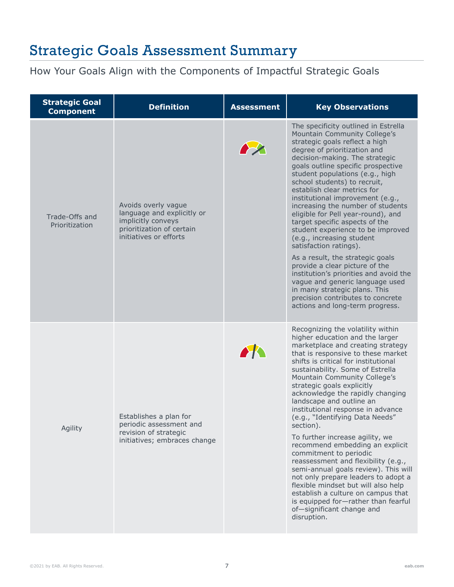## Strategic Goals Assessment Summary

How Your Goals Align with the Components of Impactful Strategic Goals

| <b>Strategic Goal</b><br><b>Component</b> | <b>Definition</b>                                                                                                              | <b>Assessment</b>  | <b>Key Observations</b>                                                                                                                                                                                                                                                                                                                                                                                                                                                                                                                                                                                                                                                                                                                                                                                                              |
|-------------------------------------------|--------------------------------------------------------------------------------------------------------------------------------|--------------------|--------------------------------------------------------------------------------------------------------------------------------------------------------------------------------------------------------------------------------------------------------------------------------------------------------------------------------------------------------------------------------------------------------------------------------------------------------------------------------------------------------------------------------------------------------------------------------------------------------------------------------------------------------------------------------------------------------------------------------------------------------------------------------------------------------------------------------------|
| Trade-Offs and<br>Prioritization          | Avoids overly vague<br>language and explicitly or<br>implicitly conveys<br>prioritization of certain<br>initiatives or efforts |                    | The specificity outlined in Estrella<br>Mountain Community College's<br>strategic goals reflect a high<br>degree of prioritization and<br>decision-making. The strategic<br>goals outline specific prospective<br>student populations (e.g., high<br>school students) to recruit,<br>establish clear metrics for<br>institutional improvement (e.g.,<br>increasing the number of students<br>eligible for Pell year-round), and<br>target specific aspects of the<br>student experience to be improved<br>(e.g., increasing student<br>satisfaction ratings).<br>As a result, the strategic goals<br>provide a clear picture of the<br>institution's priorities and avoid the<br>vague and generic language used<br>in many strategic plans. This<br>precision contributes to concrete<br>actions and long-term progress.            |
| Agility                                   | Establishes a plan for<br>periodic assessment and<br>revision of strategic<br>initiatives; embraces change                     | $\blacktriangle K$ | Recognizing the volatility within<br>higher education and the larger<br>marketplace and creating strategy<br>that is responsive to these market<br>shifts is critical for institutional<br>sustainability. Some of Estrella<br>Mountain Community College's<br>strategic goals explicitly<br>acknowledge the rapidly changing<br>landscape and outline an<br>institutional response in advance<br>(e.g., "Identifying Data Needs"<br>section).<br>To further increase agility, we<br>recommend embedding an explicit<br>commitment to periodic<br>reassessment and flexibility (e.g.,<br>semi-annual goals review). This will<br>not only prepare leaders to adopt a<br>flexible mindset but will also help<br>establish a culture on campus that<br>is equipped for-rather than fearful<br>of-significant change and<br>disruption. |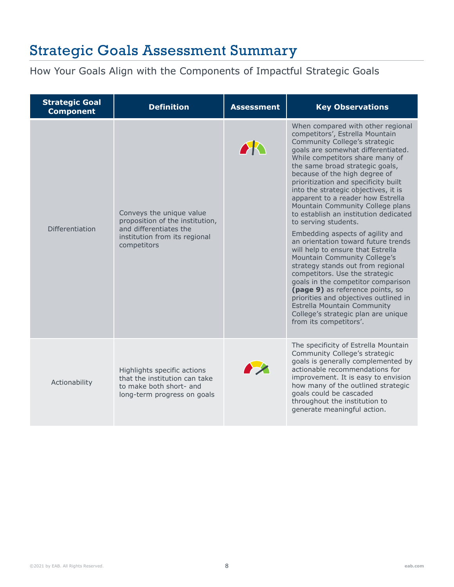## Strategic Goals Assessment Summary

How Your Goals Align with the Components of Impactful Strategic Goals

| <b>Strategic Goal</b><br><b>Component</b> | <b>Definition</b>                                                                                                                     | <b>Assessment</b> | <b>Key Observations</b>                                                                                                                                                                                                                                                                                                                                                                                                                                                                                                                                                                                                                                                                                                                                                                                                                                                                                                |
|-------------------------------------------|---------------------------------------------------------------------------------------------------------------------------------------|-------------------|------------------------------------------------------------------------------------------------------------------------------------------------------------------------------------------------------------------------------------------------------------------------------------------------------------------------------------------------------------------------------------------------------------------------------------------------------------------------------------------------------------------------------------------------------------------------------------------------------------------------------------------------------------------------------------------------------------------------------------------------------------------------------------------------------------------------------------------------------------------------------------------------------------------------|
| Differentiation                           | Conveys the unique value<br>proposition of the institution,<br>and differentiates the<br>institution from its regional<br>competitors | AR                | When compared with other regional<br>competitors', Estrella Mountain<br>Community College's strategic<br>goals are somewhat differentiated.<br>While competitors share many of<br>the same broad strategic goals,<br>because of the high degree of<br>prioritization and specificity built<br>into the strategic objectives, it is<br>apparent to a reader how Estrella<br>Mountain Community College plans<br>to establish an institution dedicated<br>to serving students.<br>Embedding aspects of agility and<br>an orientation toward future trends<br>will help to ensure that Estrella<br>Mountain Community College's<br>strategy stands out from regional<br>competitors. Use the strategic<br>goals in the competitor comparison<br>(page 9) as reference points, so<br>priorities and objectives outlined in<br>Estrella Mountain Community<br>College's strategic plan are unique<br>from its competitors'. |
| Actionability                             | Highlights specific actions<br>that the institution can take<br>to make both short- and<br>long-term progress on goals                |                   | The specificity of Estrella Mountain<br>Community College's strategic<br>goals is generally complemented by<br>actionable recommendations for<br>improvement. It is easy to envision<br>how many of the outlined strategic<br>goals could be cascaded<br>throughout the institution to<br>generate meaningful action.                                                                                                                                                                                                                                                                                                                                                                                                                                                                                                                                                                                                  |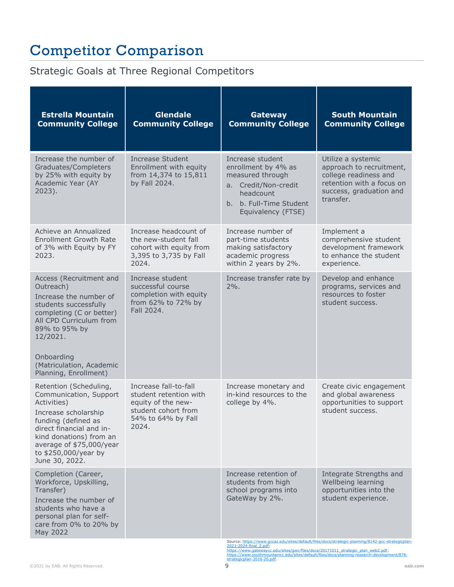# Competitor Comparison

## Strategic Goals at Three Regional Competitors

| <b>Estrella Mountain</b><br><b>Community College</b>                                                                                                                                                                                           | <b>Glendale</b><br><b>Community College</b>                                                                                 | Gateway<br><b>Community College</b>                                                                                                               | <b>South Mountain</b><br><b>Community College</b>                                                                                                                                                  |
|------------------------------------------------------------------------------------------------------------------------------------------------------------------------------------------------------------------------------------------------|-----------------------------------------------------------------------------------------------------------------------------|---------------------------------------------------------------------------------------------------------------------------------------------------|----------------------------------------------------------------------------------------------------------------------------------------------------------------------------------------------------|
| Increase the number of<br>Graduates/Completers<br>by 25% with equity by<br>Academic Year (AY<br>2023).                                                                                                                                         | Increase Student<br>Enrollment with equity<br>from 14,374 to 15,811<br>by Fall 2024.                                        | Increase student<br>enrollment by 4% as<br>measured through<br>a. Credit/Non-credit<br>headcount<br>b. b. Full-Time Student<br>Equivalency (FTSE) | Utilize a systemic<br>approach to recruitment,<br>college readiness and<br>retention with a focus on<br>success, graduation and<br>transfer.                                                       |
| Achieve an Annualized<br><b>Enrollment Growth Rate</b><br>of 3% with Equity by FY<br>2023.                                                                                                                                                     | Increase headcount of<br>the new-student fall<br>cohort with equity from<br>3,395 to 3,735 by Fall<br>2024.                 | Increase number of<br>part-time students<br>making satisfactory<br>academic progress<br>within 2 years by 2%.                                     | Implement a<br>comprehensive student<br>development framework<br>to enhance the student<br>experience.                                                                                             |
| Access (Recruitment and<br>Outreach)<br>Increase the number of<br>students successfully<br>completing (C or better)<br>All CPD Curriculum from<br>89% to 95% by<br>12/2021.<br>Onboarding<br>(Matriculation, Academic<br>Planning, Enrollment) | Increase student<br>successful course<br>completion with equity<br>from 62% to 72% by<br>Fall 2024.                         | Increase transfer rate by<br>$2\%$ .                                                                                                              | Develop and enhance<br>programs, services and<br>resources to foster<br>student success.                                                                                                           |
| Retention (Scheduling,<br>Communication, Support<br>Activities)<br>Increase scholarship<br>funding (defined as<br>direct financial and in-<br>kind donations) from an<br>average of \$75,000/year<br>to \$250,000/year by<br>June 30, 2022.    | Increase fall-to-fall<br>student retention with<br>equity of the new-<br>student cohort from<br>54% to 64% by Fall<br>2024. | Increase monetary and<br>in-kind resources to the<br>college by 4%.                                                                               | Create civic engagement<br>and global awareness<br>opportunities to support<br>student success.                                                                                                    |
| Completion (Career,<br>Workforce, Upskilling,<br>Transfer)<br>Increase the number of<br>students who have a<br>personal plan for self-<br>care from 0% to 20% by<br>May 2022                                                                   |                                                                                                                             | Increase retention of<br>students from high<br>school programs into<br>GateWay by 2%.                                                             | Integrate Strengths and<br>Wellbeing learning<br>opportunities into the<br>student experience.<br>Source: https://www.gccaz.edu/sites/default/files/docs/strategic-planning/8142-gcc-strategicplar |

Source: https://www.gccaz.edu/sites/default/files/docs/strategic-planning/8142-gcc-strategicplan-<br>2021-2024-final\_2.pdf;<br>[https://www.gatewaycc.edu/sites/gwc/files/docs/20171011\\_strategic\\_plan\\_web2.pdf;](https://www.gatewaycc.edu/sites/gwc/files/docs/20171011_strategic_plan_web2.pdf)<br>https://www.southmou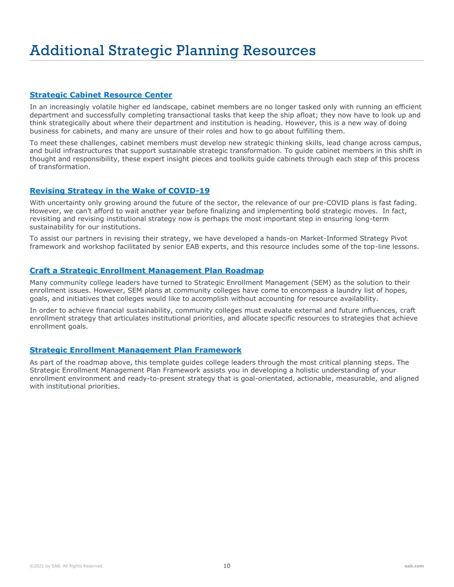#### **[Strategic Cabinet Resource Center](https://eab.com/research/community-college/resource-center/strategic-cabinet-resource-center/)**

In an increasingly volatile higher ed landscape, cabinet members are no longer tasked only with running an efficient department and successfully completing transactional tasks that keep the ship afloat; they now have to look up and think strategically about where their department and institution is heading. However, this is a new way of doing business for cabinets, and many are unsure of their roles and how to go about fulfilling them.

To meet these challenges, cabinet members must develop new strategic thinking skills, lead change across campus, and build infrastructures that support sustainable strategic transformation. To guide cabinet members in this shift in thought and responsibility, these expert insight pieces and toolkits guide cabinets through each step of this process of transformation.

#### **[Revising Strategy in the Wake of COVID-19](https://eab.com/insights/expert-insight/strategy/2020-college-strategic-plan/)**

With uncertainty only growing around the future of the sector, the relevance of our pre-COVID plans is fast fading. However, we can't afford to wait another year before finalizing and implementing bold strategic moves. In fact, revisiting and revising institutional strategy now is perhaps the most important step in ensuring long-term sustainability for our institutions.

To assist our partners in revising their strategy, we have developed a hands-on Market-Informed Strategy Pivot framework and workshop facilitated by senior EAB experts, and this resource includes some of the top-line lessons.

#### **[Craft a Strategic Enrollment Management Plan Roadmap](https://eab.com/research/community-college/roadmaps/craft-future-oriented-strategic-enrollment-management-plan-community-colleges/)**

Many community college leaders have turned to Strategic Enrollment Management (SEM) as the solution to their enrollment issues. However, SEM plans at community colleges have come to encompass a laundry list of hopes, goals, and initiatives that colleges would like to accomplish without accounting for resource availability.

In order to achieve financial sustainability, community colleges must evaluate external and future influences, craft enrollment strategy that articulates institutional priorities, and allocate specific resources to strategies that achieve enrollment goals.

#### **[Strategic Enrollment Management Plan Framework](https://eab.com/research/community-college/toolkit/strategic-enrollment-management-plan-framework/)**

As part of the roadmap above, this template guides college leaders through the most critical planning steps. The Strategic Enrollment Management Plan Framework assists you in developing a holistic understanding of your enrollment environment and ready-to-present strategy that is goal-orientated, actionable, measurable, and aligned with institutional priorities.